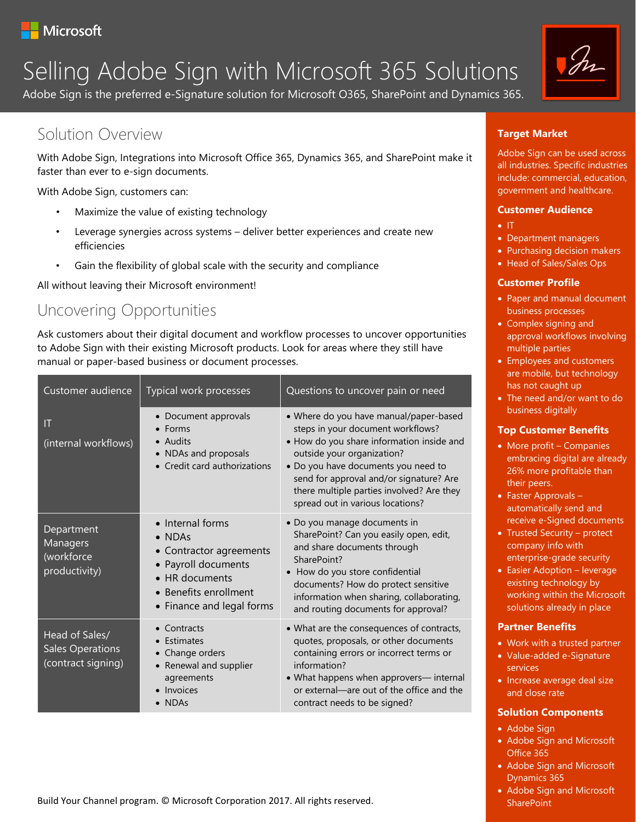

# $S = \frac{|\cdot|}{|\cdot|}$ Selling Adobe Sign with Microsoft 365 Solutions

Adobe Sign is the preferred e-Signature solution for Microsoft O365, SharePoint and Dynamics 365.

# Solution Overview

With Adobe Sign, Integrations into Microsoft Office 365, Dynamics 365, and SharePoint make it faster than ever to e-sign documents.

With Adobe Sign, customers can:

- Maximize the value of existing technology
- Leverage synergies across systems deliver better experiences and create new efficiencies
- Gain the flexibility of global scale with the security and compliance

All without leaving their Microsoft environment!

# Uncovering Opportunities

Ask customers about their digital document and workflow processes to uncover opportunities to Adobe Sign with their existing Microsoft products. Look for areas where they still have manual or paper-based business or document processes.

| Customer audience                                               | Typical work processes                                                                                                                                               | Questions to uncover pain or need                                                                                                                                                                                                                                                                                         |
|-----------------------------------------------------------------|----------------------------------------------------------------------------------------------------------------------------------------------------------------------|---------------------------------------------------------------------------------------------------------------------------------------------------------------------------------------------------------------------------------------------------------------------------------------------------------------------------|
| IT<br>(internal workflows)                                      | • Document approvals<br>Forms<br>• Audits<br>• NDAs and proposals<br>• Credit card authorizations                                                                    | • Where do you have manual/paper-based<br>steps in your document workflows?<br>• How do you share information inside and<br>outside your organization?<br>. Do you have documents you need to<br>send for approval and/or signature? Are<br>there multiple parties involved? Are they<br>spread out in various locations? |
| Department<br>Managers<br>(workforce<br>productivity)           | • Internal forms<br>$\bullet$ NDAs<br>• Contractor agreements<br>• Payroll documents<br>$\bullet$ HR documents<br>• Benefits enrollment<br>• Finance and legal forms | · Do you manage documents in<br>SharePoint? Can you easily open, edit,<br>and share documents through<br>SharePoint?<br>• How do you store confidential<br>documents? How do protect sensitive<br>information when sharing, collaborating,<br>and routing documents for approval?                                         |
| Head of Sales/<br><b>Sales Operations</b><br>(contract signing) | Contracts<br>Estimates<br>Change orders<br>Renewal and supplier<br>agreements<br>• Invoices<br><b>NDAs</b>                                                           | • What are the consequences of contracts,<br>quotes, proposals, or other documents<br>containing errors or incorrect terms or<br>information?<br>• What happens when approvers-internal<br>or external-are out of the office and the<br>contract needs to be signed?                                                      |

#### Build Your Channel program. © Microsoft Corporation 2017. All rights reserved.



## **Target Market**

Adobe Sign can be used across all industries. Specific industries include: commercial, education, government and healthcare.

#### **Customer Audience**

- IT
- Department managers
- Purchasing decision makers
- Head of Sales/Sales Ops

### **Customer Profile**

- Paper and manual document business processes
- Complex signing and approval workflows involving multiple parties
- Employees and customers are mobile, but technology has not caught up
- The need and/or want to do business digitally

### **Top Customer Benefits**

- More profit Companies embracing digital are already 26% more profitable than their peers.
- Faster Approvals automatically send and receive e-Signed documents
- Trusted Security protect company info with enterprise-grade security
- Easier Adoption leverage existing technology by working within the Microsoft solutions already in place

### **Partner Benefits**

- Work with a trusted partner
- Value-added e-Signature services
- Increase average deal size and close rate

### **Solution Components**

- Adobe Sign
- Adobe Sign and Microsoft Office 365
- Adobe Sign and Microsoft Dynamics 365
- Adobe Sign and Microsoft **SharePoint**